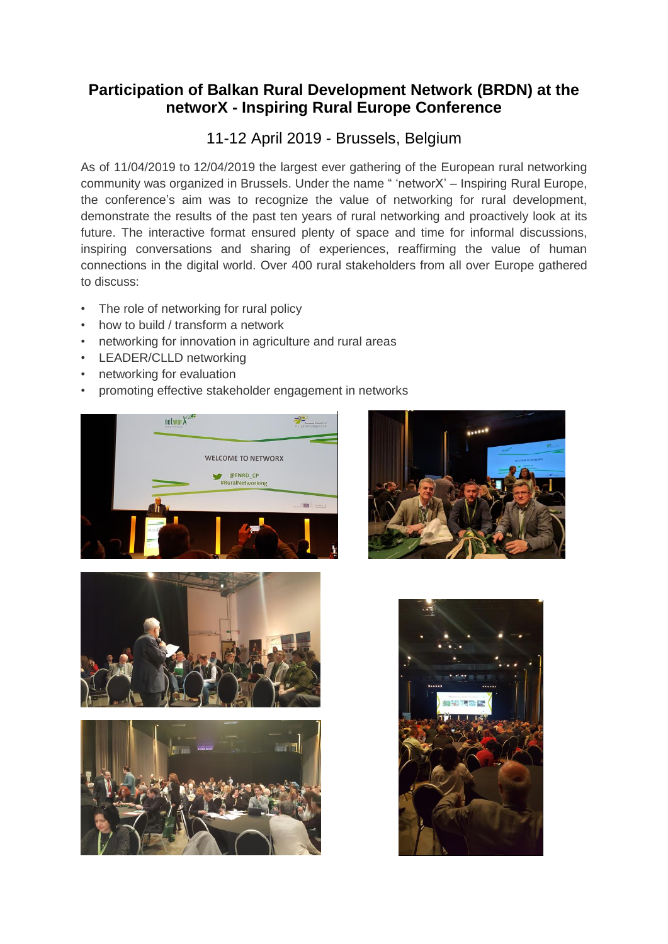## **Participation of Balkan Rural Development Network (BRDN) at the networX - Inspiring Rural Europe Conference**

## 11-12 April 2019 - Brussels, Belgium

As of 11/04/2019 to 12/04/2019 the largest ever gathering of the European rural networking community was organized in Brussels. Under the name " 'networX' – Inspiring Rural Europe, the conference's aim was to recognize the value of networking for rural development, demonstrate the results of the past ten years of rural networking and proactively look at its future. The interactive format ensured plenty of space and time for informal discussions, inspiring conversations and sharing of experiences, reaffirming the value of human connections in the digital world. Over 400 rural stakeholders from all over Europe gathered to discuss:

- The role of networking for rural policy
- how to build / transform a network
- networking for innovation in agriculture and rural areas
- LEADER/CLLD networking
- networking for evaluation
- promoting effective stakeholder engagement in networks









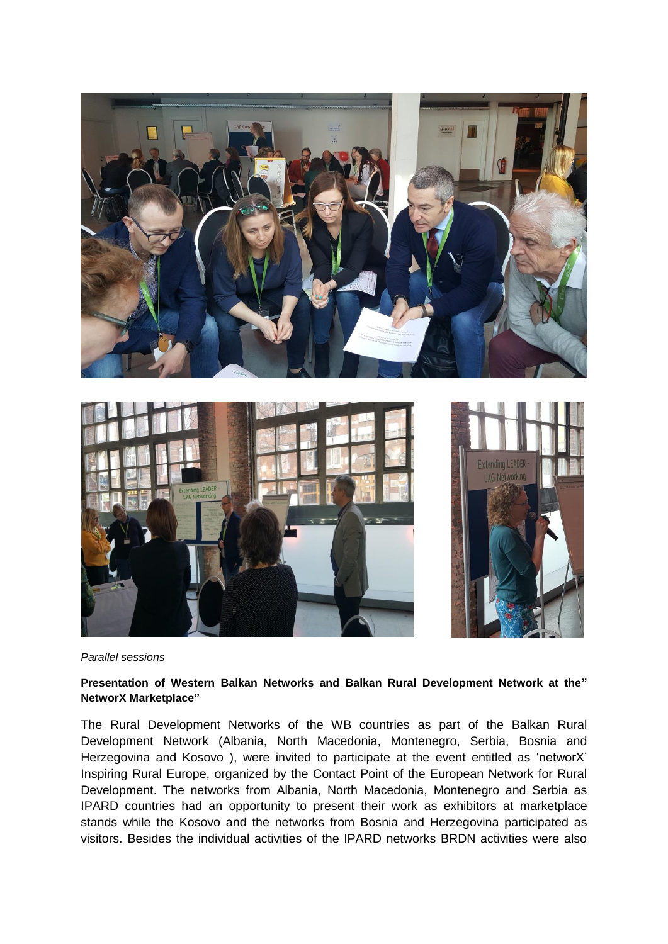



*Parallel sessions* 

## **Presentation of Western Balkan Networks and Balkan Rural Development Network at the" NetworX Marketplace"**

The Rural Development Networks of the WB countries as part of the Balkan Rural Development Network (Albania, North Macedonia, Montenegro, Serbia, Bosnia and Herzegovina and Kosovo ), were invited to participate at the event entitled as 'networX' Inspiring Rural Europe, organized by the Contact Point of the European Network for Rural Development. The networks from Albania, North Macedonia, Montenegro and Serbia as IPARD countries had an opportunity to present their work as exhibitors at marketplace stands while the Kosovo and the networks from Bosnia and Herzegovina participated as visitors. Besides the individual activities of the IPARD networks BRDN activities were also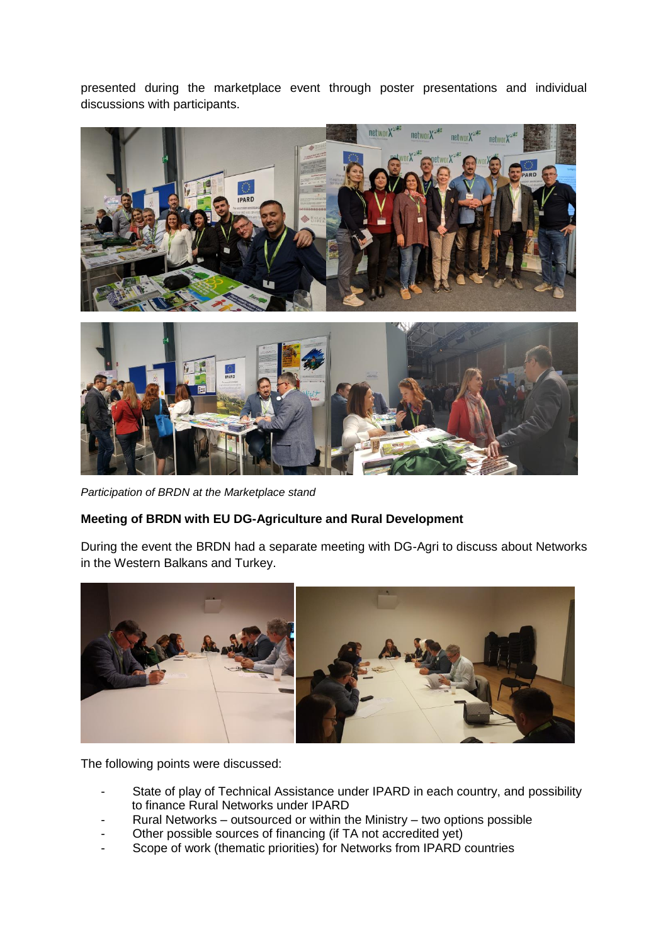presented during the marketplace event through poster presentations and individual discussions with participants.



*Participation of BRDN at the Marketplace stand* 

## **Meeting of BRDN with EU DG-Agriculture and Rural Development**

During the event the BRDN had a separate meeting with DG-Agri to discuss about Networks in the Western Balkans and Turkey.



The following points were discussed:

- State of play of Technical Assistance under IPARD in each country, and possibility to finance Rural Networks under IPARD
- Rural Networks outsourced or within the Ministry two options possible
- Other possible sources of financing (if TA not accredited yet)
- Scope of work (thematic priorities) for Networks from IPARD countries